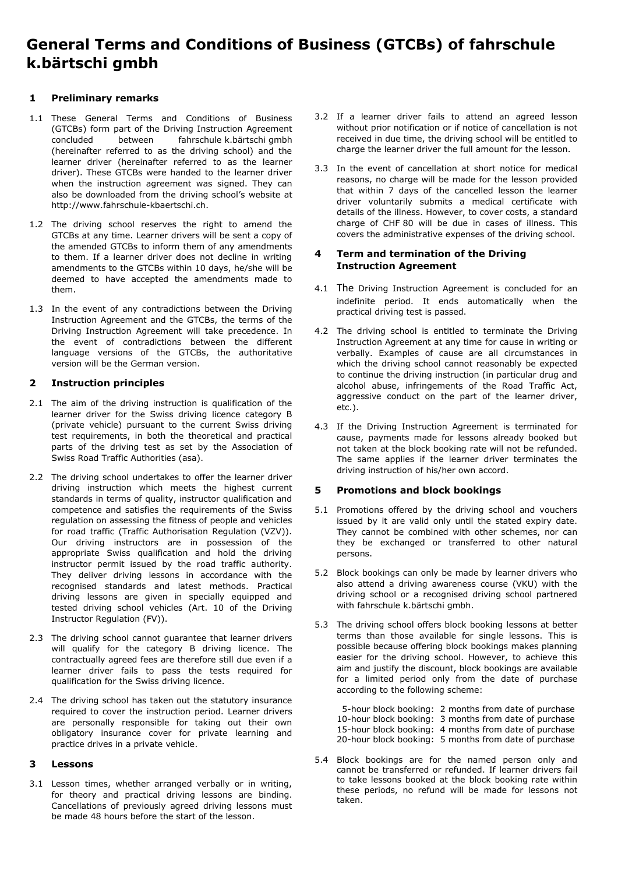# **General Terms and Conditions of Business (GTCBs) of fahrschule k.bärtschi gmbh**

# **1 Preliminary remarks**

- 1.1 These General Terms and Conditions of Business (GTCBs) form part of the Driving Instruction Agreement concluded between fahrschule k.bärtschi gmbh (hereinafter referred to as the driving school) and the learner driver (hereinafter referred to as the learner driver). These GTCBs were handed to the learner driver when the instruction agreement was signed. They can also be downloaded from the driving school's website at http://www.fahrschule-kbaertschi.ch.
- 1.2 The driving school reserves the right to amend the GTCBs at any time. Learner drivers will be sent a copy of the amended GTCBs to inform them of any amendments to them. If a learner driver does not decline in writing amendments to the GTCBs within 10 days, he/she will be deemed to have accepted the amendments made to them.
- 1.3 In the event of any contradictions between the Driving Instruction Agreement and the GTCBs, the terms of the Driving Instruction Agreement will take precedence. In the event of contradictions between the different language versions of the GTCBs, the authoritative version will be the German version.

# **2 Instruction principles**

- 2.1 The aim of the driving instruction is qualification of the learner driver for the Swiss driving licence category B (private vehicle) pursuant to the current Swiss driving test requirements, in both the theoretical and practical parts of the driving test as set by the Association of Swiss Road Traffic Authorities (asa).
- 2.2 The driving school undertakes to offer the learner driver driving instruction which meets the highest current standards in terms of quality, instructor qualification and competence and satisfies the requirements of the Swiss regulation on assessing the fitness of people and vehicles for road traffic (Traffic Authorisation Regulation (VZV)). Our driving instructors are in possession of the appropriate Swiss qualification and hold the driving instructor permit issued by the road traffic authority. They deliver driving lessons in accordance with the recognised standards and latest methods. Practical driving lessons are given in specially equipped and tested driving school vehicles (Art. 10 of the Driving Instructor Regulation (FV)).
- 2.3 The driving school cannot guarantee that learner drivers will qualify for the category B driving licence. The contractually agreed fees are therefore still due even if a learner driver fails to pass the tests required for qualification for the Swiss driving licence.
- 2.4 The driving school has taken out the statutory insurance required to cover the instruction period. Learner drivers are personally responsible for taking out their own obligatory insurance cover for private learning and practice drives in a private vehicle.

# **3 Lessons**

3.1 Lesson times, whether arranged verbally or in writing, for theory and practical driving lessons are binding. Cancellations of previously agreed driving lessons must be made 48 hours before the start of the lesson.

- 3.2 If a learner driver fails to attend an agreed lesson without prior notification or if notice of cancellation is not received in due time, the driving school will be entitled to charge the learner driver the full amount for the lesson.
- 3.3 In the event of cancellation at short notice for medical reasons, no charge will be made for the lesson provided that within 7 days of the cancelled lesson the learner driver voluntarily submits a medical certificate with details of the illness. However, to cover costs, a standard charge of CHF 80 will be due in cases of illness. This covers the administrative expenses of the driving school.

#### **4 Term and termination of the Driving Instruction Agreement**

- 4.1 The Driving Instruction Agreement is concluded for an indefinite period. It ends automatically when the practical driving test is passed.
- 4.2 The driving school is entitled to terminate the Driving Instruction Agreement at any time for cause in writing or verbally. Examples of cause are all circumstances in which the driving school cannot reasonably be expected to continue the driving instruction (in particular drug and alcohol abuse, infringements of the Road Traffic Act, aggressive conduct on the part of the learner driver, etc.).
- 4.3 If the Driving Instruction Agreement is terminated for cause, payments made for lessons already booked but not taken at the block booking rate will not be refunded. The same applies if the learner driver terminates the driving instruction of his/her own accord.

# **5 Promotions and block bookings**

- 5.1 Promotions offered by the driving school and vouchers issued by it are valid only until the stated expiry date. They cannot be combined with other schemes, nor can they be exchanged or transferred to other natural persons.
- 5.2 Block bookings can only be made by learner drivers who also attend a driving awareness course (VKU) with the driving school or a recognised driving school partnered with fahrschule k.bärtschi gmbh.
- 5.3 The driving school offers block booking lessons at better terms than those available for single lessons. This is possible because offering block bookings makes planning easier for the driving school. However, to achieve this aim and justify the discount, block bookings are available for a limited period only from the date of purchase according to the following scheme:

05-hour block booking: 2 months from date of purchase 10-hour block booking: 3 months from date of purchase 15-hour block booking: 4 months from date of purchase 20-hour block booking: 5 months from date of purchase

5.4 Block bookings are for the named person only and cannot be transferred or refunded. If learner drivers fail to take lessons booked at the block booking rate within these periods, no refund will be made for lessons not taken.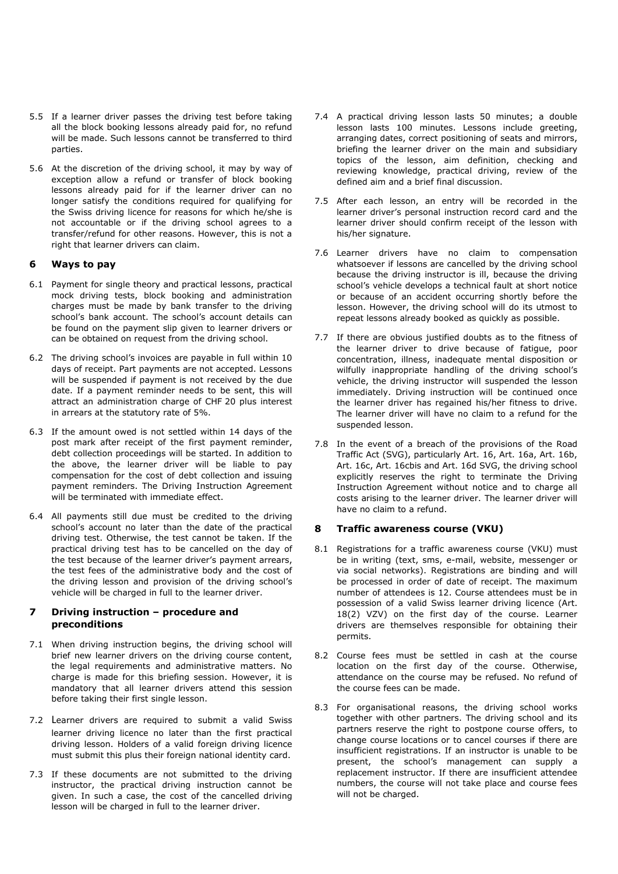- 5.5 If a learner driver passes the driving test before taking all the block booking lessons already paid for, no refund will be made. Such lessons cannot be transferred to third parties.
- 5.6 At the discretion of the driving school, it may by way of exception allow a refund or transfer of block booking lessons already paid for if the learner driver can no longer satisfy the conditions required for qualifying for the Swiss driving licence for reasons for which he/she is not accountable or if the driving school agrees to a transfer/refund for other reasons. However, this is not a right that learner drivers can claim.

#### **6 Ways to pay**

- 6.1 Payment for single theory and practical lessons, practical mock driving tests, block booking and administration charges must be made by bank transfer to the driving school's bank account. The school's account details can be found on the payment slip given to learner drivers or can be obtained on request from the driving school.
- 6.2 The driving school's invoices are payable in full within 10 days of receipt. Part payments are not accepted. Lessons will be suspended if payment is not received by the due date. If a payment reminder needs to be sent, this will attract an administration charge of CHF 20 plus interest in arrears at the statutory rate of 5%.
- 6.3 If the amount owed is not settled within 14 days of the post mark after receipt of the first payment reminder, debt collection proceedings will be started. In addition to the above, the learner driver will be liable to pay compensation for the cost of debt collection and issuing payment reminders. The Driving Instruction Agreement will be terminated with immediate effect.
- 6.4 All payments still due must be credited to the driving school's account no later than the date of the practical driving test. Otherwise, the test cannot be taken. If the practical driving test has to be cancelled on the day of the test because of the learner driver's payment arrears, the test fees of the administrative body and the cost of the driving lesson and provision of the driving school's vehicle will be charged in full to the learner driver.

#### **7 Driving instruction – procedure and preconditions**

- 7.1 When driving instruction begins, the driving school will brief new learner drivers on the driving course content, the legal requirements and administrative matters. No charge is made for this briefing session. However, it is mandatory that all learner drivers attend this session before taking their first single lesson.
- 7.2 Learner drivers are required to submit a valid Swiss learner driving licence no later than the first practical driving lesson. Holders of a valid foreign driving licence must submit this plus their foreign national identity card.
- 7.3 If these documents are not submitted to the driving instructor, the practical driving instruction cannot be given. In such a case, the cost of the cancelled driving lesson will be charged in full to the learner driver.
- 7.4 A practical driving lesson lasts 50 minutes; a double lesson lasts 100 minutes. Lessons include greeting, arranging dates, correct positioning of seats and mirrors, briefing the learner driver on the main and subsidiary topics of the lesson, aim definition, checking and reviewing knowledge, practical driving, review of the defined aim and a brief final discussion.
- 7.5 After each lesson, an entry will be recorded in the learner driver's personal instruction record card and the learner driver should confirm receipt of the lesson with his/her signature.
- 7.6 Learner drivers have no claim to compensation whatsoever if lessons are cancelled by the driving school because the driving instructor is ill, because the driving school's vehicle develops a technical fault at short notice or because of an accident occurring shortly before the lesson. However, the driving school will do its utmost to repeat lessons already booked as quickly as possible.
- 7.7 If there are obvious justified doubts as to the fitness of the learner driver to drive because of fatigue, poor concentration, illness, inadequate mental disposition or wilfully inappropriate handling of the driving school's vehicle, the driving instructor will suspended the lesson immediately. Driving instruction will be continued once the learner driver has regained his/her fitness to drive. The learner driver will have no claim to a refund for the suspended lesson.
- 7.8 In the event of a breach of the provisions of the Road Traffic Act (SVG), particularly Art. 16, Art. 16a, Art. 16b, Art. 16c, Art. 16cbis and Art. 16d SVG, the driving school explicitly reserves the right to terminate the Driving Instruction Agreement without notice and to charge all costs arising to the learner driver. The learner driver will have no claim to a refund.

#### **8 Traffic awareness course (VKU)**

- 8.1 Registrations for a traffic awareness course (VKU) must be in writing (text, sms, e-mail, website, messenger or via social networks). Registrations are binding and will be processed in order of date of receipt. The maximum number of attendees is 12. Course attendees must be in possession of a valid Swiss learner driving licence (Art. 18(2) VZV) on the first day of the course. Learner drivers are themselves responsible for obtaining their permits.
- 8.2 Course fees must be settled in cash at the course location on the first day of the course. Otherwise, attendance on the course may be refused. No refund of the course fees can be made.
- 8.3 For organisational reasons, the driving school works together with other partners. The driving school and its partners reserve the right to postpone course offers, to change course locations or to cancel courses if there are insufficient registrations. If an instructor is unable to be present, the school's management can supply a replacement instructor. If there are insufficient attendee numbers, the course will not take place and course fees will not be charged.